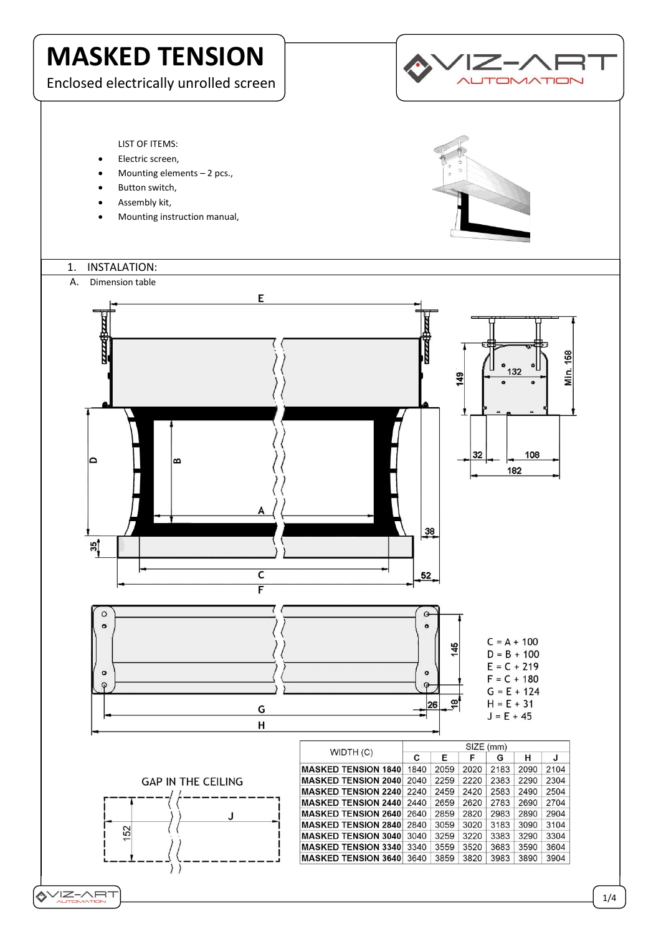

# **VIZ-ART**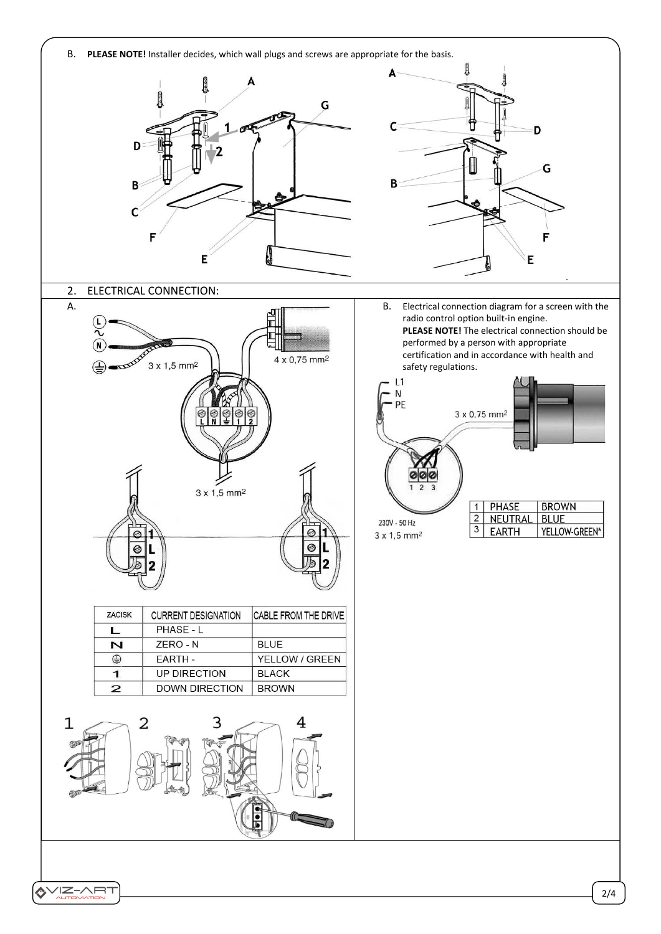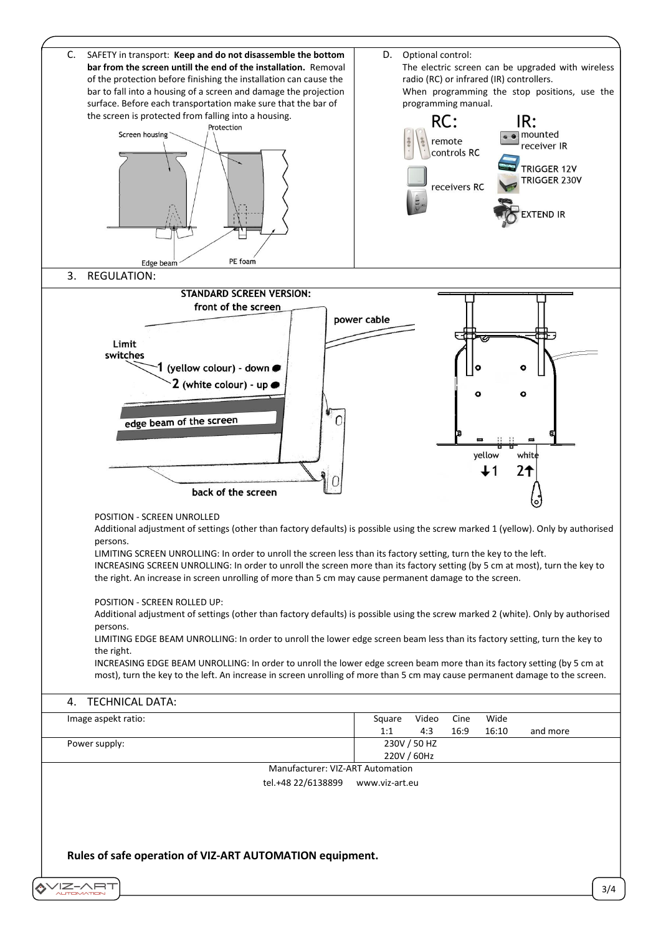